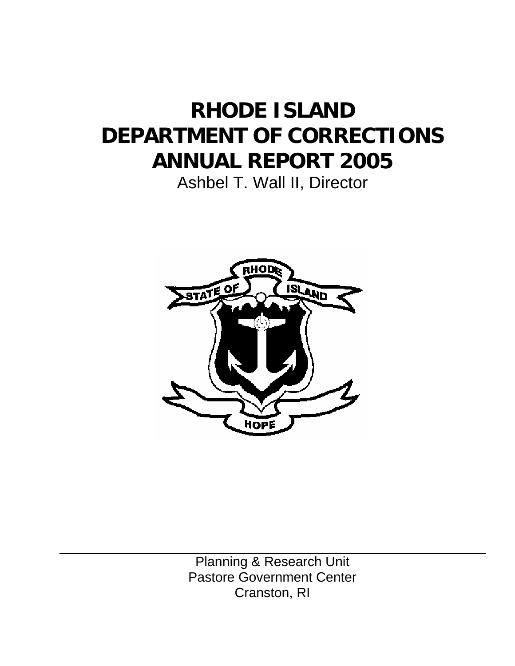# **RHODE ISLAND DEPARTMENT OF CORRECTIONS ANNUAL REPORT 2005**

Ashbel T. Wall II, Director



Planning & Research Unit Pastore Government Center Cranston, RI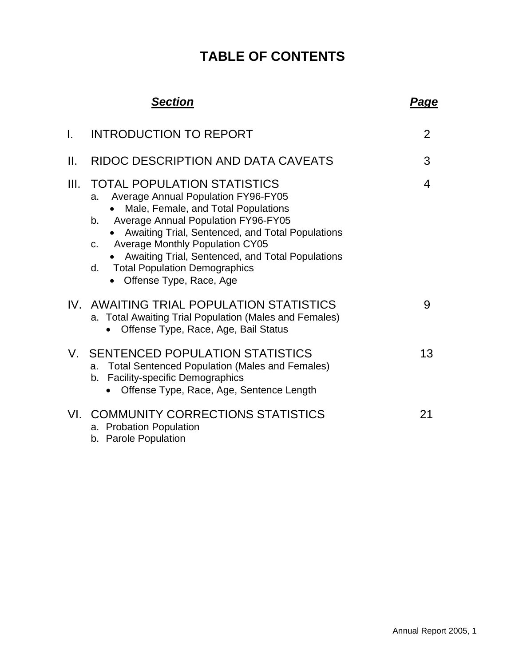# **TABLE OF CONTENTS**

|      | <b>Section</b>                                                                                                                                                                                                                                                                                                                                                                                                                       | <u>Page</u>    |
|------|--------------------------------------------------------------------------------------------------------------------------------------------------------------------------------------------------------------------------------------------------------------------------------------------------------------------------------------------------------------------------------------------------------------------------------------|----------------|
| I.   | <b>INTRODUCTION TO REPORT</b>                                                                                                                                                                                                                                                                                                                                                                                                        | $\overline{2}$ |
| II.  | RIDOC DESCRIPTION AND DATA CAVEATS                                                                                                                                                                                                                                                                                                                                                                                                   | 3              |
| III. | <b>TOTAL POPULATION STATISTICS</b><br><b>Average Annual Population FY96-FY05</b><br>a.<br>Male, Female, and Total Populations<br><b>Average Annual Population FY96-FY05</b><br>b.<br>Awaiting Trial, Sentenced, and Total Populations<br><b>Average Monthly Population CY05</b><br>$C_{-}$<br>Awaiting Trial, Sentenced, and Total Populations<br><b>Total Population Demographics</b><br>d.<br>Offense Type, Race, Age<br>$\bullet$ | 4              |
|      | IV. AWAITING TRIAL POPULATION STATISTICS<br>a. Total Awaiting Trial Population (Males and Females)<br>Offense Type, Race, Age, Bail Status                                                                                                                                                                                                                                                                                           | 9              |
|      | V. SENTENCED POPULATION STATISTICS<br><b>Total Sentenced Population (Males and Females)</b><br>a.<br><b>Facility-specific Demographics</b><br>b.<br>Offense Type, Race, Age, Sentence Length                                                                                                                                                                                                                                         | 13             |
|      | VI. COMMUNITY CORRECTIONS STATISTICS<br>a. Probation Population<br>b. Parole Population                                                                                                                                                                                                                                                                                                                                              | 21             |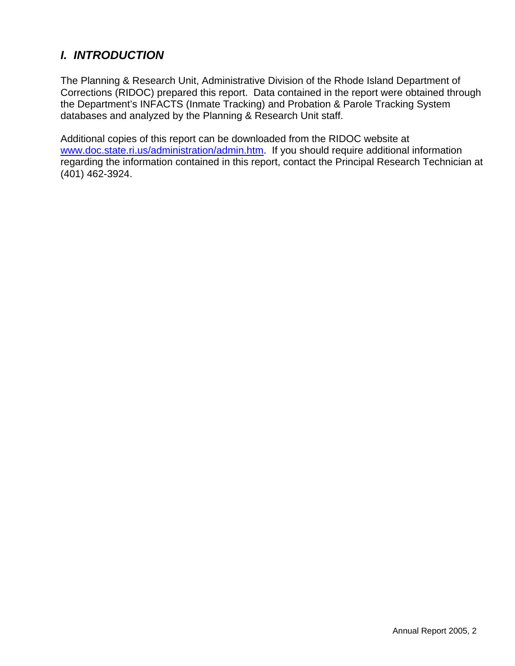# *I. INTRODUCTION*

The Planning & Research Unit, Administrative Division of the Rhode Island Department of Corrections (RIDOC) prepared this report. Data contained in the report were obtained through the Department's INFACTS (Inmate Tracking) and Probation & Parole Tracking System databases and analyzed by the Planning & Research Unit staff.

Additional copies of this report can be downloaded from the RIDOC website at www.doc.state.ri.us/administration/admin.htm. If you should require additional information regarding the information contained in this report, contact the Principal Research Technician at (401) 462-3924.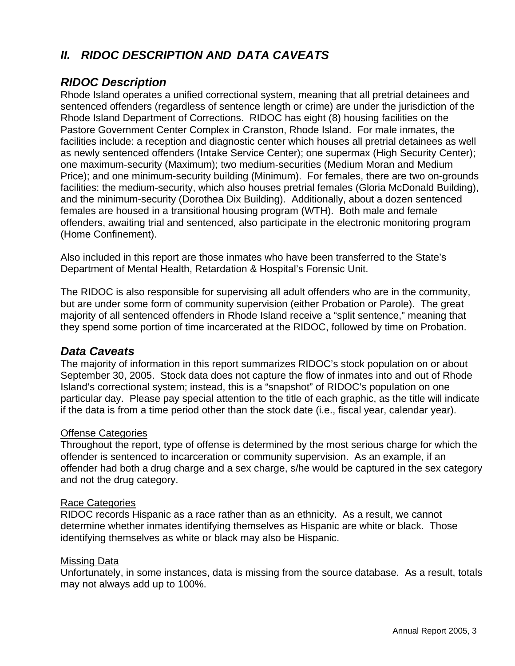## *II.**RIDOC DESCRIPTION AND DATA CAVEATS*

### *RIDOC Description*

Rhode Island operates a unified correctional system, meaning that all pretrial detainees and sentenced offenders (regardless of sentence length or crime) are under the jurisdiction of the Rhode Island Department of Corrections. RIDOC has eight (8) housing facilities on the Pastore Government Center Complex in Cranston, Rhode Island. For male inmates, the facilities include: a reception and diagnostic center which houses all pretrial detainees as well as newly sentenced offenders (Intake Service Center); one supermax (High Security Center); one maximum-security (Maximum); two medium-securities (Medium Moran and Medium Price); and one minimum-security building (Minimum). For females, there are two on-grounds facilities: the medium-security, which also houses pretrial females (Gloria McDonald Building), and the minimum-security (Dorothea Dix Building). Additionally, about a dozen sentenced females are housed in a transitional housing program (WTH). Both male and female offenders, awaiting trial and sentenced, also participate in the electronic monitoring program (Home Confinement).

Also included in this report are those inmates who have been transferred to the State's Department of Mental Health, Retardation & Hospital's Forensic Unit.

The RIDOC is also responsible for supervising all adult offenders who are in the community, but are under some form of community supervision (either Probation or Parole). The great majority of all sentenced offenders in Rhode Island receive a "split sentence," meaning that they spend some portion of time incarcerated at the RIDOC, followed by time on Probation.

#### *Data Caveats*

The majority of information in this report summarizes RIDOC's stock population on or about September 30, 2005. Stock data does not capture the flow of inmates into and out of Rhode Island's correctional system; instead, this is a "snapshot" of RIDOC's population on one particular day. Please pay special attention to the title of each graphic, as the title will indicate if the data is from a time period other than the stock date (i.e., fiscal year, calendar year).

#### Offense Categories

Throughout the report, type of offense is determined by the most serious charge for which the offender is sentenced to incarceration or community supervision. As an example, if an offender had both a drug charge and a sex charge, s/he would be captured in the sex category and not the drug category.

#### Race Categories

RIDOC records Hispanic as a race rather than as an ethnicity. As a result, we cannot determine whether inmates identifying themselves as Hispanic are white or black. Those identifying themselves as white or black may also be Hispanic.

#### Missing Data

Unfortunately, in some instances, data is missing from the source database. As a result, totals may not always add up to 100%.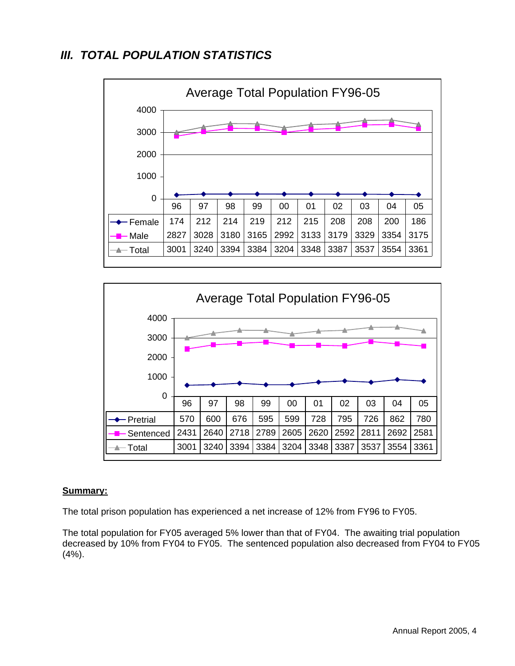### *III. TOTAL POPULATION STATISTICS*





#### **Summary:**

The total prison population has experienced a net increase of 12% from FY96 to FY05.

The total population for FY05 averaged 5% lower than that of FY04.The awaiting trial population decreased by 10% from FY04 to FY05.The sentenced population also decreased from FY04 to FY05 (4%).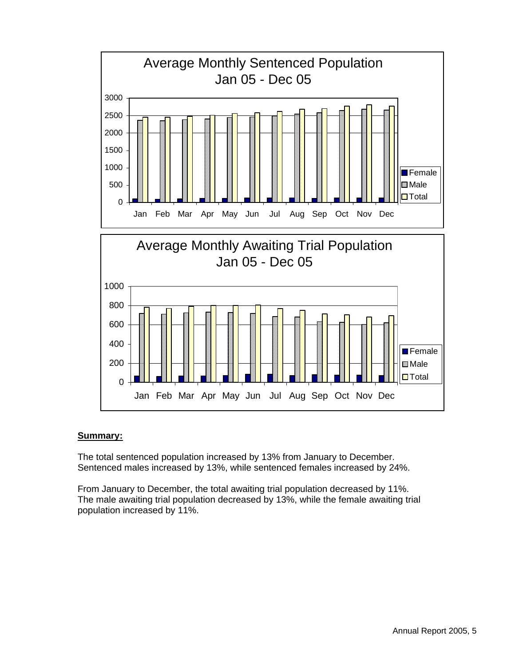

#### **Summary:**

The total sentenced population increased by 13% from January to December. Sentenced males increased by 13%, while sentenced females increased by 24%.

From January to December, the total awaiting trial population decreased by 11%. The male awaiting trial population decreased by 13%, while the female awaiting trial population increased by 11%.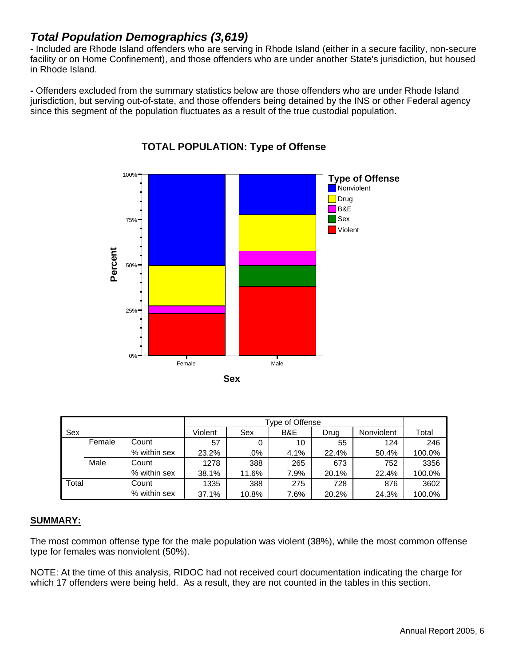### *Total Population Demographics (3,619)*

**-** Included are Rhode Island offenders who are serving in Rhode Island (either in a secure facility, non-secure facility or on Home Confinement), and those offenders who are under another State's jurisdiction, but housed in Rhode Island.

**-** Offenders excluded from the summary statistics below are those offenders who are under Rhode Island jurisdiction, but serving out-of-state, and those offenders being detained by the INS or other Federal agency since this segment of the population fluctuates as a result of the true custodial population.



#### **TOTAL POPULATION: Type of Offense**

| Sex   |        |              | Violent | Sex    | B&E  | Drug  | Nonviolent | Total  |
|-------|--------|--------------|---------|--------|------|-------|------------|--------|
|       | Female | Count        | 57      | 0      | 10   | 55    | 124        | 246    |
|       |        | % within sex | 23.2%   | $.0\%$ | 4.1% | 22.4% | 50.4%      | 100.0% |
|       | Male   | Count        | 1278    | 388    | 265  | 673   | 752        | 3356   |
|       |        | % within sex | 38.1%   | 11.6%  | 7.9% | 20.1% | 22.4%      | 100.0% |
| Total |        | Count        | 1335    | 388    | 275  | 728   | 876        | 3602   |
|       |        | % within sex | 37.1%   | 10.8%  | 7.6% | 20.2% | 24.3%      | 100.0% |

#### **SUMMARY:**

The most common offense type for the male population was violent (38%), while the most common offense type for females was nonviolent (50%).

NOTE: At the time of this analysis, RIDOC had not received court documentation indicating the charge for which 17 offenders were being held. As a result, they are not counted in the tables in this section.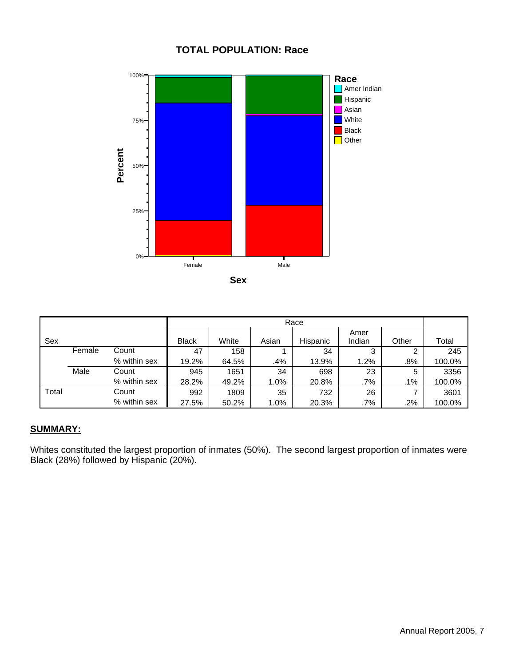#### **TOTAL POPULATION: Race**



|       |        |              |              |       |       | Race     |                |       |        |
|-------|--------|--------------|--------------|-------|-------|----------|----------------|-------|--------|
| Sex   |        |              | <b>Black</b> | White | Asian | Hispanic | Amer<br>Indian | Other | Total  |
|       | Female | Count        | 47           | 158   |       | 34       | 3              |       | 245    |
|       |        | % within sex | 19.2%        | 64.5% | .4%   | 13.9%    | 1.2%           | .8%   | 100.0% |
|       | Male   | Count        | 945          | 1651  | 34    | 698      | 23             | 5     | 3356   |
|       |        | % within sex | 28.2%        | 49.2% | 1.0%  | 20.8%    | .7%            | .1%   | 100.0% |
| Total |        | Count        | 992          | 1809  | 35    | 732      | 26             |       | 3601   |
|       |        | % within sex | 27.5%        | 50.2% | 1.0%  | 20.3%    | .7%            | .2%   | 100.0% |

#### **SUMMARY:**

Whites constituted the largest proportion of inmates (50%). The second largest proportion of inmates were Black (28%) followed by Hispanic (20%).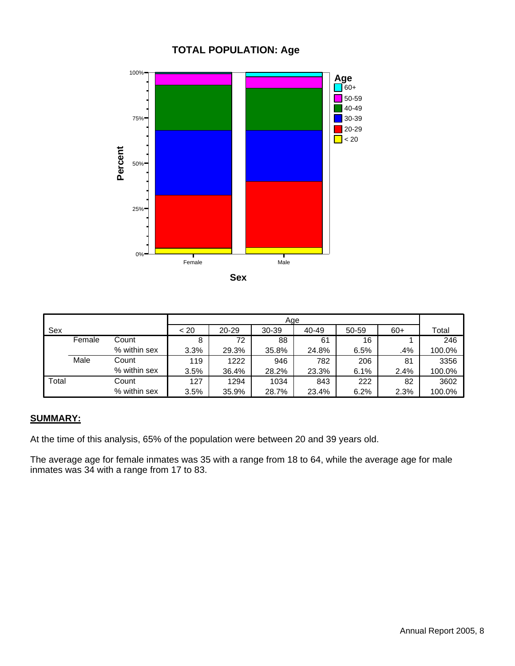#### **TOTAL POPULATION: Age**



| Sex   |        |              | ~< 20 | 20-29 | $30 - 39$ | 40-49 | 50-59 | $60+$ | Total  |
|-------|--------|--------------|-------|-------|-----------|-------|-------|-------|--------|
|       | Female | Count        | 8     | 72    | 88        | 61    | 16    |       | 246    |
|       |        | % within sex | 3.3%  | 29.3% | 35.8%     | 24.8% | 6.5%  | .4%   | 100.0% |
|       | Male   | Count        | 119   | 1222  | 946       | 782   | 206   | 81    | 3356   |
|       |        | % within sex | 3.5%  | 36.4% | 28.2%     | 23.3% | 6.1%  | 2.4%  | 100.0% |
| Total |        | Count        | 127   | 1294  | 1034      | 843   | 222   | 82    | 3602   |
|       |        | % within sex | 3.5%  | 35.9% | 28.7%     | 23.4% | 6.2%  | 2.3%  | 100.0% |

#### **SUMMARY:**

At the time of this analysis, 65% of the population were between 20 and 39 years old.

The average age for female inmates was 35 with a range from 18 to 64, while the average age for male inmates was 34 with a range from 17 to 83.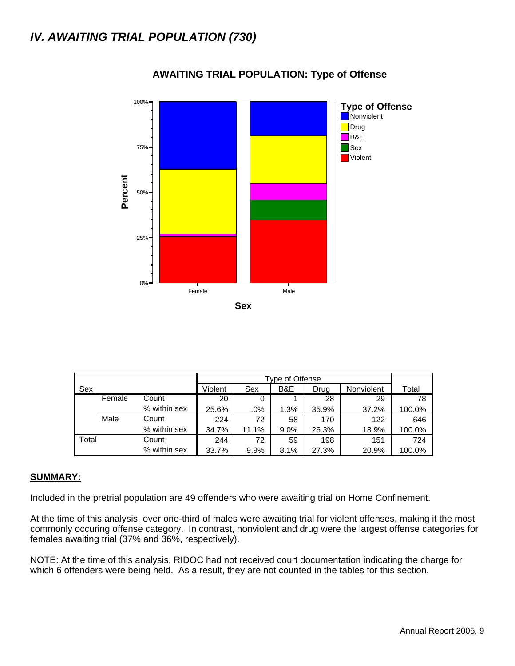

#### **AWAITING TRIAL POPULATION: Type of Offense**

|       |        |              |         | Type of Offense |         |       |            |        |  |  |  |
|-------|--------|--------------|---------|-----------------|---------|-------|------------|--------|--|--|--|
| Sex   |        |              | Violent | Sex             | B&E     | Drug  | Nonviolent | Total  |  |  |  |
|       | Female | Count        | 20      | 0               |         | 28    | 29         | 78     |  |  |  |
|       |        | % within sex | 25.6%   | .0%             | 1.3%    | 35.9% | 37.2%      | 100.0% |  |  |  |
|       | Male   | Count        | 224     | 72              | 58      | 170   | 122        | 646    |  |  |  |
|       |        | % within sex | 34.7%   | 11.1%           | $9.0\%$ | 26.3% | 18.9%      | 100.0% |  |  |  |
| Total |        | Count        | 244     | 72              | 59      | 198   | 151        | 724    |  |  |  |
|       |        | % within sex | 33.7%   | 9.9%            | 8.1%    | 27.3% | 20.9%      | 100.0% |  |  |  |

#### **SUMMARY:**

Included in the pretrial population are 49 offenders who were awaiting trial on Home Confinement.

At the time of this analysis, over one-third of males were awaiting trial for violent offenses, making it the most commonly occuring offense category. In contrast, nonviolent and drug were the largest offense categories for females awaiting trial (37% and 36%, respectively).

NOTE: At the time of this analysis, RIDOC had not received court documentation indicating the charge for which 6 offenders were being held. As a result, they are not counted in the tables for this section.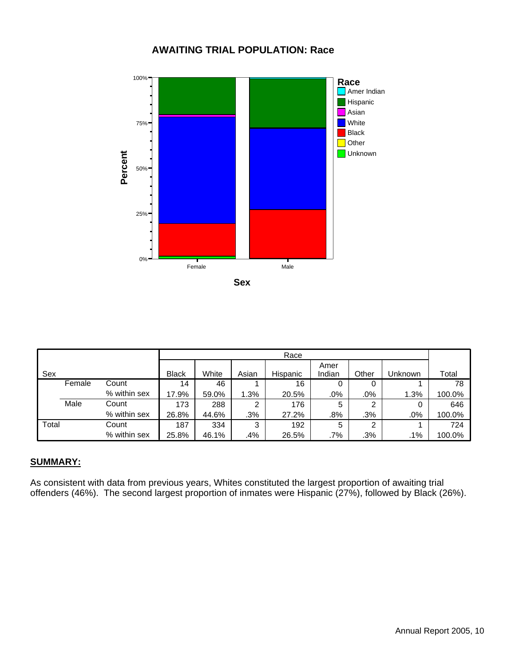#### **AWAITING TRIAL POPULATION: Race**



|       |        |              |              |       |       | Race     |        |       |         |        |
|-------|--------|--------------|--------------|-------|-------|----------|--------|-------|---------|--------|
|       |        |              |              |       |       |          | Amer   |       |         |        |
| Sex   |        |              | <b>Black</b> | White | Asian | Hispanic | Indian | Other | Unknown | Total  |
|       | Female | Count        | 14           | 46    |       | 16       | 0      | 0     |         | 78     |
|       |        | % within sex | 17.9%        | 59.0% | 1.3%  | 20.5%    | .0%    | .0%   | 1.3%    | 100.0% |
|       | Male   | Count        | 173          | 288   | っ     | 176      | 5      | 2     | 0       | 646    |
|       |        | % within sex | 26.8%        | 44.6% | .3%   | 27.2%    | .8%    | .3%   | .0%     | 100.0% |
| Total |        | Count        | 187          | 334   | 3     | 192      | 5      | 2     |         | 724    |
|       |        | % within sex | 25.8%        | 46.1% | .4%   | 26.5%    | $.7\%$ | .3%   | .1%     | 100.0% |

#### **SUMMARY:**

As consistent with data from previous years, Whites constituted the largest proportion of awaiting trial offenders (46%). The second largest proportion of inmates were Hispanic (27%), followed by Black (26%).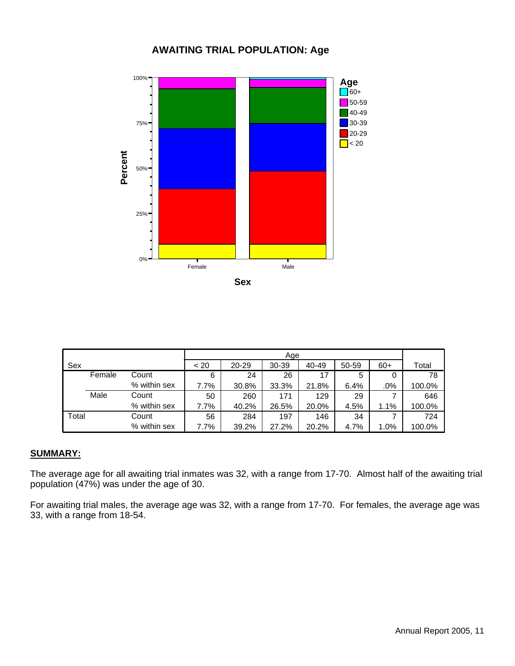#### **AWAITING TRIAL POPULATION: Age**



**Sex**

|       |        |              |      | Age       |           |       |       |       |        |  |
|-------|--------|--------------|------|-----------|-----------|-------|-------|-------|--------|--|
| Sex   |        |              | < 20 | $20 - 29$ | $30 - 39$ | 40-49 | 50-59 | $60+$ | Total  |  |
|       | Female | Count        | 6    | 24        | 26        | 17    | 5     | O     | 78     |  |
|       |        | % within sex | 7.7% | 30.8%     | 33.3%     | 21.8% | 6.4%  | .0%   | 100.0% |  |
|       | Male   | Count        | 50   | 260       | 171       | 129   | 29    |       | 646    |  |
|       |        | % within sex | 7.7% | 40.2%     | 26.5%     | 20.0% | 4.5%  | 1.1%  | 100.0% |  |
| Total |        | Count        | 56   | 284       | 197       | 146   | 34    |       | 724    |  |
|       |        | % within sex | 7.7% | 39.2%     | 27.2%     | 20.2% | 4.7%  | 1.0%  | 100.0% |  |

#### **SUMMARY:**

The average age for all awaiting trial inmates was 32, with a range from 17-70. Almost half of the awaiting trial population (47%) was under the age of 30.

For awaiting trial males, the average age was 32, with a range from 17-70. For females, the average age was 33, with a range from 18-54.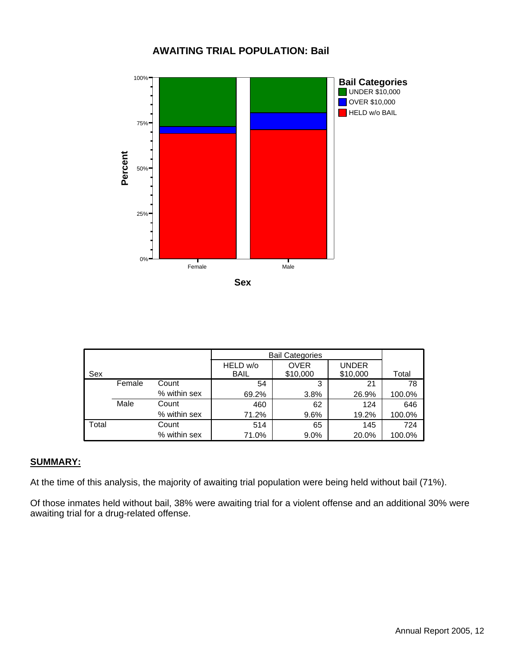#### **AWAITING TRIAL POPULATION: Bail**



|       |        |              |             | <b>Bail Categories</b> |              |        |
|-------|--------|--------------|-------------|------------------------|--------------|--------|
|       |        |              | HELD w/o    | <b>OVER</b>            | <b>UNDER</b> |        |
| Sex   |        |              | <b>BAIL</b> | \$10,000               | \$10,000     | Total  |
|       | Female | Count        | 54          | 3                      | 21           | 78     |
|       |        | % within sex | 69.2%       | 3.8%                   | 26.9%        | 100.0% |
|       | Male   | Count        | 460         | 62                     | 124          | 646    |
|       |        | % within sex | 71.2%       | 9.6%                   | 19.2%        | 100.0% |
| Total |        | Count        | 514         | 65                     | 145          | 724    |
|       |        | % within sex | 71.0%       | $9.0\%$                | 20.0%        | 100.0% |

#### **SUMMARY:**

At the time of this analysis, the majority of awaiting trial population were being held without bail (71%).

Of those inmates held without bail, 38% were awaiting trial for a violent offense and an additional 30% were awaiting trial for a drug-related offense.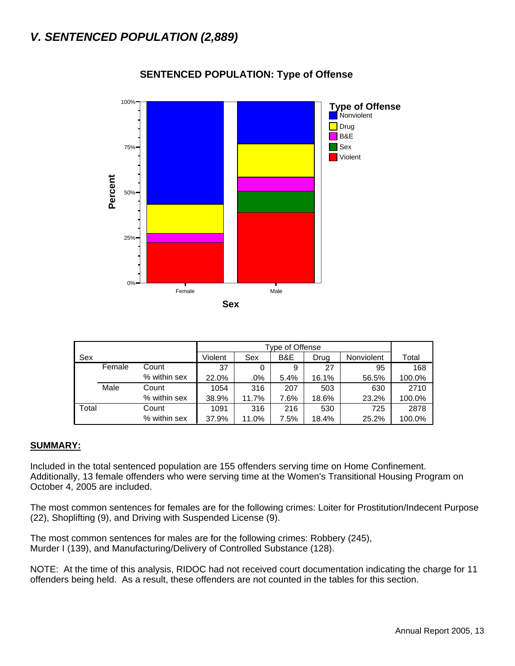

#### **SENTENCED POPULATION: Type of Offense**

|       |        |              |         | Type of Offense |      |       |            |        |  |  |  |  |
|-------|--------|--------------|---------|-----------------|------|-------|------------|--------|--|--|--|--|
| Sex   |        |              | Violent | Sex             | B&E  | Drug  | Nonviolent | Total  |  |  |  |  |
|       | Female | Count        | 37      | 0               | 9    | 27    | 95         | 168    |  |  |  |  |
|       |        | % within sex | 22.0%   | .0%             | 5.4% | 16.1% | 56.5%      | 100.0% |  |  |  |  |
|       | Male   | Count        | 1054    | 316             | 207  | 503   | 630        | 2710   |  |  |  |  |
|       |        | % within sex | 38.9%   | 11.7%           | 7.6% | 18.6% | 23.2%      | 100.0% |  |  |  |  |
| Total |        | Count        | 1091    | 316             | 216  | 530   | 725        | 2878   |  |  |  |  |
|       |        | % within sex | 37.9%   | 11.0%           | 7.5% | 18.4% | 25.2%      | 100.0% |  |  |  |  |

#### **SUMMARY:**

Included in the total sentenced population are 155 offenders serving time on Home Confinement. Additionally, 13 female offenders who were serving time at the Women's Transitional Housing Program on October 4, 2005 are included.

The most common sentences for females are for the following crimes: Loiter for Prostitution/Indecent Purpose (22), Shoplifting (9), and Driving with Suspended License (9).

The most common sentences for males are for the following crimes: Robbery (245), Murder I (139), and Manufacturing/Delivery of Controlled Substance (128).

NOTE: At the time of this analysis, RIDOC had not received court documentation indicating the charge for 11 offenders being held. As a result, these offenders are not counted in the tables for this section.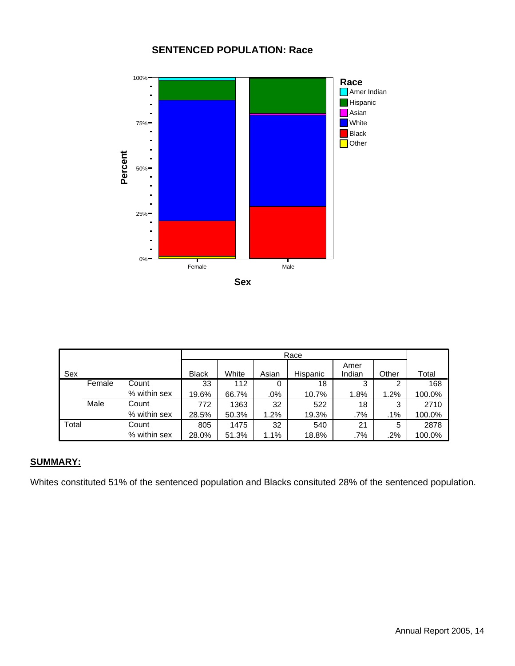#### **SENTENCED POPULATION: Race**



|       |        |              |              | Race  |        |          |        |        |        |  |  |
|-------|--------|--------------|--------------|-------|--------|----------|--------|--------|--------|--|--|
|       |        |              |              |       |        |          | Amer   |        |        |  |  |
| Sex   |        |              | <b>Black</b> | White | Asian  | Hispanic | Indian | Other  | Total  |  |  |
|       | Female | Count        | 33           | 112   | 0      | 18       | 3      | ◠      | 168    |  |  |
|       |        | % within sex | 19.6%        | 66.7% | $.0\%$ | 10.7%    | 1.8%   | 1.2%   | 100.0% |  |  |
|       | Male   | Count        | 772          | 1363  | 32     | 522      | 18     | 3      | 2710   |  |  |
|       |        | % within sex | 28.5%        | 50.3% | 1.2%   | 19.3%    | $.7\%$ | $.1\%$ | 100.0% |  |  |
| Total |        | Count        | 805          | 1475  | 32     | 540      | 21     | 5      | 2878   |  |  |
|       |        | % within sex | 28.0%        | 51.3% | 1.1%   | 18.8%    | .7%    | .2%    | 100.0% |  |  |

#### **SUMMARY:**

Whites constituted 51% of the sentenced population and Blacks consituted 28% of the sentenced population.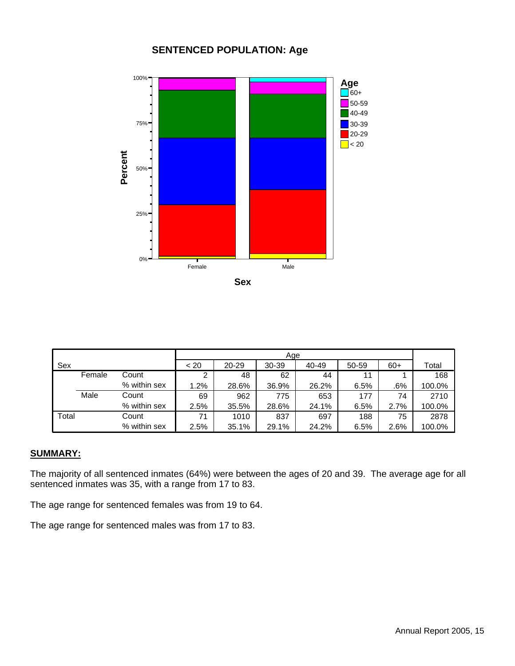#### **SENTENCED POPULATION: Age**



**Sex**

| Sex   |        |              | < 20 | 20-29 | $30 - 39$ | 40-49 | 50-59 | $60+$ | Total  |
|-------|--------|--------------|------|-------|-----------|-------|-------|-------|--------|
|       | Female | Count        | 2    | 48    | 62        | 44    | 11    |       | 168    |
|       |        | % within sex | 1.2% | 28.6% | 36.9%     | 26.2% | 6.5%  | .6%   | 100.0% |
|       | Male   | Count        | 69   | 962   | 775       | 653   | 177   | 74    | 2710   |
|       |        | % within sex | 2.5% | 35.5% | 28.6%     | 24.1% | 6.5%  | 2.7%  | 100.0% |
| Total |        | Count        | 71   | 1010  | 837       | 697   | 188   | 75    | 2878   |
|       |        | % within sex | 2.5% | 35.1% | 29.1%     | 24.2% | 6.5%  | 2.6%  | 100.0% |

#### **SUMMARY:**

The majority of all sentenced inmates (64%) were between the ages of 20 and 39. The average age for all sentenced inmates was 35, with a range from 17 to 83.

The age range for sentenced females was from 19 to 64.

The age range for sentenced males was from 17 to 83.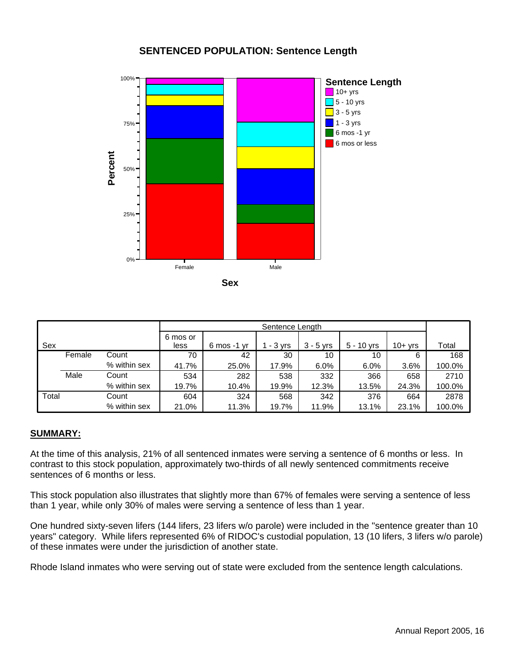#### **SENTENCED POPULATION: Sentence Length**



|       |        |              |                  |                                | Sentence Length |             |              |           |        |
|-------|--------|--------------|------------------|--------------------------------|-----------------|-------------|--------------|-----------|--------|
| Sex   |        |              | 6 mos or<br>less | $6 \text{ mos} - 1 \text{ yr}$ | $-3$ yrs        | $3 - 5$ yrs | $5 - 10$ yrs | $10+$ yrs | Total  |
|       | Female | Count        | 70               | 42                             | 30              | 10          | 10           | 6         | 168    |
|       |        | % within sex | 41.7%            | 25.0%                          | 17.9%           | 6.0%        | 6.0%         | 3.6%      | 100.0% |
|       | Male   | Count        | 534              | 282                            | 538             | 332         | 366          | 658       | 2710   |
|       |        | % within sex | 19.7%            | 10.4%                          | 19.9%           | 12.3%       | 13.5%        | 24.3%     | 100.0% |
| Total |        | Count        | 604              | 324                            | 568             | 342         | 376          | 664       | 2878   |
|       |        | % within sex | 21.0%            | 11.3%                          | 19.7%           | 11.9%       | 13.1%        | 23.1%     | 100.0% |

#### **SUMMARY:**

At the time of this analysis, 21% of all sentenced inmates were serving a sentence of 6 months or less. In contrast to this stock population, approximately two-thirds of all newly sentenced commitments receive sentences of 6 months or less.

This stock population also illustrates that slightly more than 67% of females were serving a sentence of less than 1 year, while only 30% of males were serving a sentence of less than 1 year.

One hundred sixty-seven lifers (144 lifers, 23 lifers w/o parole) were included in the "sentence greater than 10 years" category. While lifers represented 6% of RIDOC's custodial population, 13 (10 lifers, 3 lifers w/o parole) of these inmates were under the jurisdiction of another state.

Rhode Island inmates who were serving out of state were excluded from the sentence length calculations.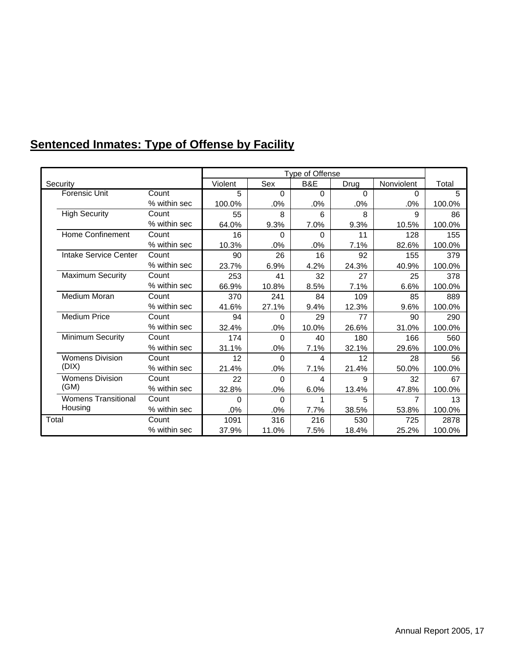# **Sentenced Inmates: Type of Offense by Facility**

|                            |              |         |          | Type of Offense |          |                |        |
|----------------------------|--------------|---------|----------|-----------------|----------|----------------|--------|
| Security                   |              | Violent | Sex      | B&E             | Drug     | Nonviolent     | Total  |
| <b>Forensic Unit</b>       | Count        | 5       | $\Omega$ | $\Omega$        | $\Omega$ | 0              | 5      |
|                            | % within sec | 100.0%  | .0%      | .0%             | .0%      | .0%            | 100.0% |
| <b>High Security</b>       | Count        | 55      | 8        | 6               | 8        | 9              | 86     |
|                            | % within sec | 64.0%   | 9.3%     | 7.0%            | 9.3%     | 10.5%          | 100.0% |
| Home Confinement           | Count        | 16      | $\Omega$ | $\Omega$        | 11       | 128            | 155    |
|                            | % within sec | 10.3%   | $.0\%$   | .0%             | 7.1%     | 82.6%          | 100.0% |
| Intake Service Center      | Count        | 90      | 26       | 16              | 92       | 155            | 379    |
|                            | % within sec | 23.7%   | 6.9%     | 4.2%            | 24.3%    | 40.9%          | 100.0% |
| <b>Maximum Security</b>    | Count        | 253     | 41       | 32              | 27       | 25             | 378    |
|                            | % within sec | 66.9%   | 10.8%    | 8.5%            | 7.1%     | 6.6%           | 100.0% |
| <b>Medium Moran</b>        | Count        | 370     | 241      | 84              | 109      | 85             | 889    |
|                            | % within sec | 41.6%   | 27.1%    | 9.4%            | 12.3%    | 9.6%           | 100.0% |
| <b>Medium Price</b>        | Count        | 94      | $\Omega$ | 29              | 77       | 90             | 290    |
|                            | % within sec | 32.4%   | .0%      | 10.0%           | 26.6%    | 31.0%          | 100.0% |
| Minimum Security           | Count        | 174     | 0        | 40              | 180      | 166            | 560    |
|                            | % within sec | 31.1%   | $.0\%$   | 7.1%            | 32.1%    | 29.6%          | 100.0% |
| <b>Womens Division</b>     | Count        | 12      | $\Omega$ | 4               | 12       | 28             | 56     |
| (DIX)                      | % within sec | 21.4%   | .0%      | 7.1%            | 21.4%    | 50.0%          | 100.0% |
| <b>Womens Division</b>     | Count        | 22      | 0        | 4               | 9        | 32             | 67     |
| (GM)                       | % within sec | 32.8%   | .0%      | 6.0%            | 13.4%    | 47.8%          | 100.0% |
| <b>Womens Transitional</b> | Count        | 0       | $\Omega$ | 1               | 5        | $\overline{7}$ | 13     |
| Housing                    | % within sec | $.0\%$  | .0%      | 7.7%            | 38.5%    | 53.8%          | 100.0% |
| Total                      | Count        | 1091    | 316      | 216             | 530      | 725            | 2878   |
|                            | % within sec | 37.9%   | 11.0%    | 7.5%            | 18.4%    | 25.2%          | 100.0% |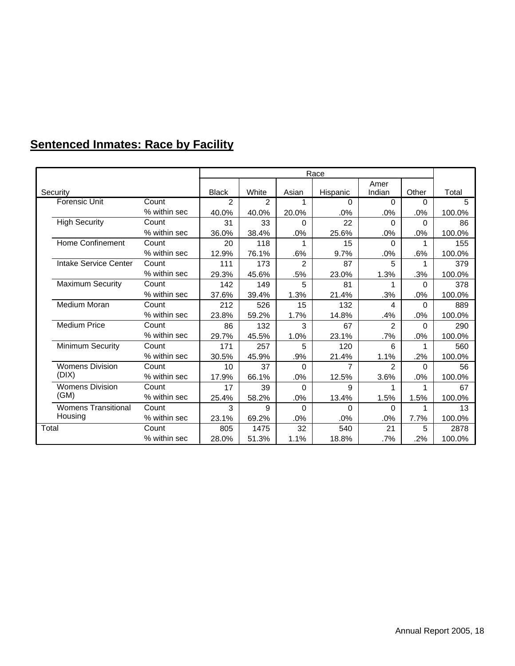# **Sentenced Inmates: Race by Facility**

|                            |              |              |       |                | Race     |               |          |        |
|----------------------------|--------------|--------------|-------|----------------|----------|---------------|----------|--------|
|                            |              |              |       |                |          | Amer          |          |        |
| Security                   |              | <b>Black</b> | White | Asian          | Hispanic | Indian        | Other    | Total  |
| <b>Forensic Unit</b>       | Count        | 2            | 2     | 1              | 0        | $\Omega$      | 0        | 5      |
|                            | % within sec | 40.0%        | 40.0% | 20.0%          | .0%      | .0%           | .0%      | 100.0% |
| <b>High Security</b>       | Count        | 31           | 33    | 0              | 22       | $\Omega$      | 0        | 86     |
|                            | % within sec | 36.0%        | 38.4% | .0%            | 25.6%    | .0%           | .0%      | 100.0% |
| <b>Home Confinement</b>    | Count        | 20           | 118   | 1              | 15       | $\Omega$      | 1        | 155    |
|                            | % within sec | 12.9%        | 76.1% | .6%            | 9.7%     | .0%           | .6%      | 100.0% |
| Intake Service Center      | Count        | 111          | 173   | $\overline{2}$ | 87       | 5             | 1        | 379    |
|                            | % within sec | 29.3%        | 45.6% | .5%            | 23.0%    | 1.3%          | .3%      | 100.0% |
| <b>Maximum Security</b>    | Count        | 142          | 149   | 5              | 81       | 1             | 0        | 378    |
|                            | % within sec | 37.6%        | 39.4% | 1.3%           | 21.4%    | .3%           | .0%      | 100.0% |
| Medium Moran               | Count        | 212          | 526   | 15             | 132      | 4             | $\Omega$ | 889    |
|                            | % within sec | 23.8%        | 59.2% | 1.7%           | 14.8%    | .4%           | .0%      | 100.0% |
| <b>Medium Price</b>        | Count        | 86           | 132   | 3              | 67       | $\mathcal{P}$ | $\Omega$ | 290    |
|                            | % within sec | 29.7%        | 45.5% | 1.0%           | 23.1%    | .7%           | .0%      | 100.0% |
| Minimum Security           | Count        | 171          | 257   | 5              | 120      | 6             | 1        | 560    |
|                            | % within sec | 30.5%        | 45.9% | .9%            | 21.4%    | 1.1%          | .2%      | 100.0% |
| <b>Womens Division</b>     | Count        | 10           | 37    | 0              | 7        | 2             | 0        | 56     |
| (DIX)                      | % within sec | 17.9%        | 66.1% | .0%            | 12.5%    | 3.6%          | .0%      | 100.0% |
| <b>Womens Division</b>     | Count        | 17           | 39    | $\Omega$       | 9        | 1             | 1        | 67     |
| (GM)                       | % within sec | 25.4%        | 58.2% | .0%            | 13.4%    | 1.5%          | 1.5%     | 100.0% |
| <b>Womens Transitional</b> | Count        | 3            | 9     | 0              | $\Omega$ | $\Omega$      | 1        | 13     |
| Housing                    | % within sec | 23.1%        | 69.2% | .0%            | .0%      | $.0\%$        | 7.7%     | 100.0% |
| Total                      | Count        | 805          | 1475  | 32             | 540      | 21            | 5        | 2878   |
|                            | % within sec | 28.0%        | 51.3% | 1.1%           | 18.8%    | .7%           | .2%      | 100.0% |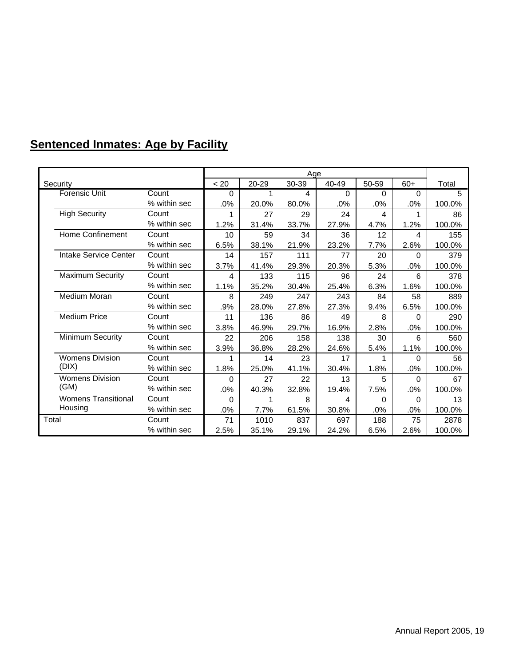# **Sentenced Inmates: Age by Facility**

|                            |              |          | Age   |       |       |       |          |        |  |  |
|----------------------------|--------------|----------|-------|-------|-------|-------|----------|--------|--|--|
| Security                   |              | < 20     | 20-29 | 30-39 | 40-49 | 50-59 | $60+$    | Total  |  |  |
| <b>Forensic Unit</b>       | Count        | 0        |       | 4     | 0     | 0     | 0        | 5      |  |  |
|                            | % within sec | .0%      | 20.0% | 80.0% | .0%   | .0%   | .0%      | 100.0% |  |  |
| <b>High Security</b>       | Count        | 1        | 27    | 29    | 24    | 4     | 1        | 86     |  |  |
|                            | % within sec | 1.2%     | 31.4% | 33.7% | 27.9% | 4.7%  | 1.2%     | 100.0% |  |  |
| Home Confinement           | Count        | 10       | 59    | 34    | 36    | 12    | 4        | 155    |  |  |
|                            | % within sec | 6.5%     | 38.1% | 21.9% | 23.2% | 7.7%  | 2.6%     | 100.0% |  |  |
| Intake Service Center      | Count        | 14       | 157   | 111   | 77    | 20    | $\Omega$ | 379    |  |  |
|                            | % within sec | 3.7%     | 41.4% | 29.3% | 20.3% | 5.3%  | .0%      | 100.0% |  |  |
| <b>Maximum Security</b>    | Count        | 4        | 133   | 115   | 96    | 24    | 6        | 378    |  |  |
|                            | % within sec | 1.1%     | 35.2% | 30.4% | 25.4% | 6.3%  | 1.6%     | 100.0% |  |  |
| <b>Medium Moran</b>        | Count        | 8        | 249   | 247   | 243   | 84    | 58       | 889    |  |  |
|                            | % within sec | .9%      | 28.0% | 27.8% | 27.3% | 9.4%  | 6.5%     | 100.0% |  |  |
| <b>Medium Price</b>        | Count        | 11       | 136   | 86    | 49    | 8     | $\Omega$ | 290    |  |  |
|                            | % within sec | 3.8%     | 46.9% | 29.7% | 16.9% | 2.8%  | .0%      | 100.0% |  |  |
| Minimum Security           | Count        | 22       | 206   | 158   | 138   | 30    | 6        | 560    |  |  |
|                            | % within sec | 3.9%     | 36.8% | 28.2% | 24.6% | 5.4%  | 1.1%     | 100.0% |  |  |
| <b>Womens Division</b>     | Count        | 1        | 14    | 23    | 17    | 1     | $\Omega$ | 56     |  |  |
| (DIX)                      | % within sec | 1.8%     | 25.0% | 41.1% | 30.4% | 1.8%  | .0%      | 100.0% |  |  |
| <b>Womens Division</b>     | Count        | $\Omega$ | 27    | 22    | 13    | 5     | $\Omega$ | 67     |  |  |
| (GM)                       | % within sec | .0%      | 40.3% | 32.8% | 19.4% | 7.5%  | .0%      | 100.0% |  |  |
| <b>Womens Transitional</b> | Count        | $\Omega$ | 1     | 8     | 4     | 0     | 0        | 13     |  |  |
| Housing                    | % within sec | .0%      | 7.7%  | 61.5% | 30.8% | .0%   | .0%      | 100.0% |  |  |
| Total                      | Count        | 71       | 1010  | 837   | 697   | 188   | 75       | 2878   |  |  |
|                            | % within sec | 2.5%     | 35.1% | 29.1% | 24.2% | 6.5%  | 2.6%     | 100.0% |  |  |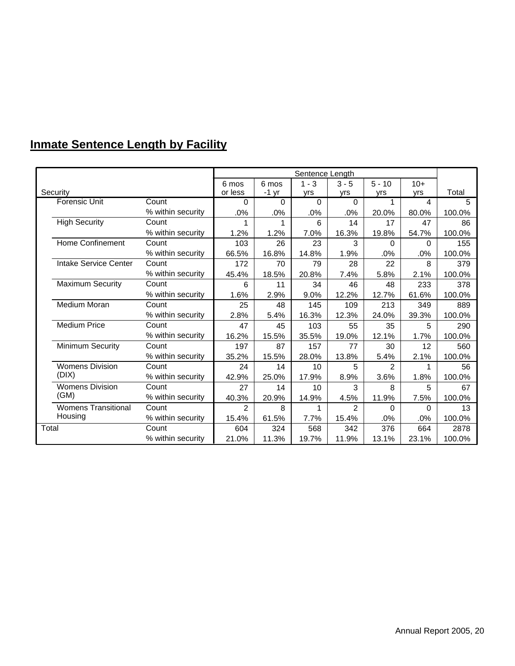# **Inmate Sentence Length by Facility**

|                            |                   |          |          | Sentence Length |          |                |       |        |
|----------------------------|-------------------|----------|----------|-----------------|----------|----------------|-------|--------|
|                            |                   | 6 mos    | 6 mos    | $1 - 3$         | $3 - 5$  | $5 - 10$       | $10+$ |        |
| Security                   |                   | or less  | $-1$ yr  | yrs             | yrs      | yrs            | yrs   | Total  |
| <b>Forensic Unit</b>       | Count             | $\Omega$ | $\Omega$ | $\Omega$        | $\Omega$ | 1              | 4     | 5      |
|                            | % within security | .0%      | .0%      | .0%             | .0%      | 20.0%          | 80.0% | 100.0% |
| <b>High Security</b>       | Count             | 1        | 1        | 6               | 14       | 17             | 47    | 86     |
|                            | % within security | 1.2%     | 1.2%     | 7.0%            | 16.3%    | 19.8%          | 54.7% | 100.0% |
| <b>Home Confinement</b>    | Count             | 103      | 26       | 23              | 3        | $\Omega$       | 0     | 155    |
|                            | % within security | 66.5%    | 16.8%    | 14.8%           | 1.9%     | .0%            | .0%   | 100.0% |
| Intake Service Center      | Count             | 172      | 70       | 79              | 28       | 22             | 8     | 379    |
|                            | % within security | 45.4%    | 18.5%    | 20.8%           | 7.4%     | 5.8%           | 2.1%  | 100.0% |
| <b>Maximum Security</b>    | Count             | 6        | 11       | 34              | 46       | 48             | 233   | 378    |
|                            | % within security | 1.6%     | 2.9%     | 9.0%            | 12.2%    | 12.7%          | 61.6% | 100.0% |
| Medium Moran               | Count             | 25       | 48       | 145             | 109      | 213            | 349   | 889    |
|                            | % within security | 2.8%     | 5.4%     | 16.3%           | 12.3%    | 24.0%          | 39.3% | 100.0% |
| <b>Medium Price</b>        | Count             | 47       | 45       | 103             | 55       | 35             | 5     | 290    |
|                            | % within security | 16.2%    | 15.5%    | 35.5%           | 19.0%    | 12.1%          | 1.7%  | 100.0% |
| Minimum Security           | Count             | 197      | 87       | 157             | 77       | 30             | 12    | 560    |
|                            | % within security | 35.2%    | 15.5%    | 28.0%           | 13.8%    | 5.4%           | 2.1%  | 100.0% |
| <b>Womens Division</b>     | Count             | 24       | 14       | 10              | 5        | $\mathfrak{p}$ |       | 56     |
| (DIX)                      | % within security | 42.9%    | 25.0%    | 17.9%           | 8.9%     | 3.6%           | 1.8%  | 100.0% |
| <b>Womens Division</b>     | Count             | 27       | 14       | 10              | 3        | 8              | 5     | 67     |
| (GM)                       | % within security | 40.3%    | 20.9%    | 14.9%           | 4.5%     | 11.9%          | 7.5%  | 100.0% |
| <b>Womens Transitional</b> | Count             | 2        | 8        |                 | 2        | 0              | 0     | 13     |
| Housing                    | % within security | 15.4%    | 61.5%    | 7.7%            | 15.4%    | .0%            | .0%   | 100.0% |
| Total                      | Count             | 604      | 324      | 568             | 342      | 376            | 664   | 2878   |
|                            | % within security | 21.0%    | 11.3%    | 19.7%           | 11.9%    | 13.1%          | 23.1% | 100.0% |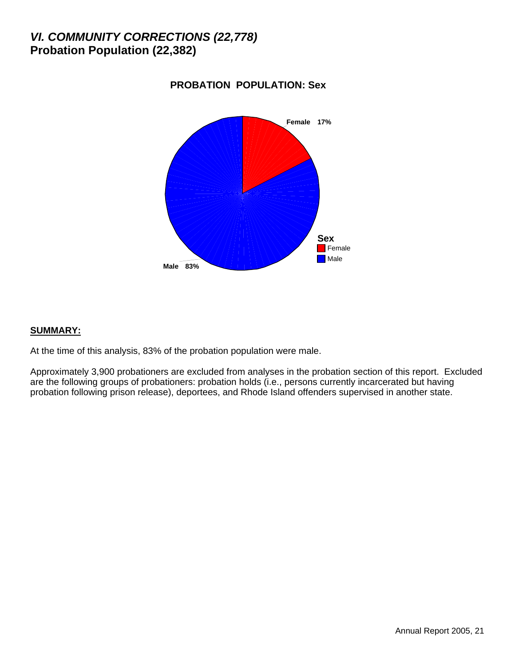### *VI. COMMUNITY CORRECTIONS (22,778)* **Probation Population (22,382)**



#### **PROBATION POPULATION: Sex**

#### **SUMMARY:**

At the time of this analysis, 83% of the probation population were male.

Approximately 3,900 probationers are excluded from analyses in the probation section of this report. Excluded are the following groups of probationers: probation holds (i.e., persons currently incarcerated but having probation following prison release), deportees, and Rhode Island offenders supervised in another state.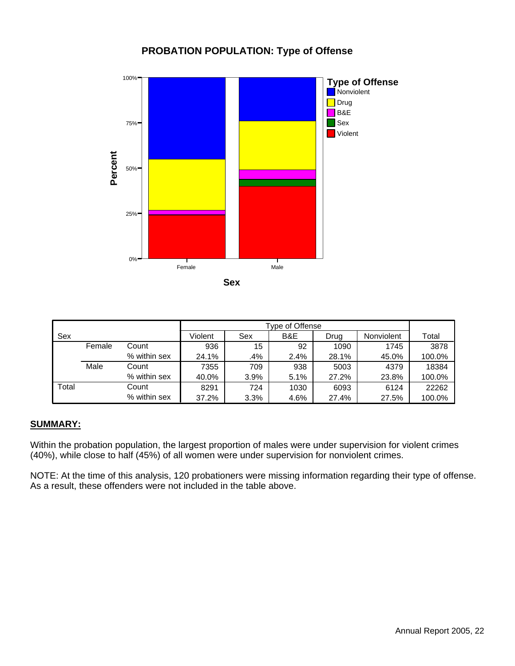#### **PROBATION POPULATION: Type of Offense**



|       |        |              |         | Tvpe of Offense |      |       |            |        |  |  |  |
|-------|--------|--------------|---------|-----------------|------|-------|------------|--------|--|--|--|
| Sex   |        |              | Violent | Sex             | B&E  | Drug  | Nonviolent | Total  |  |  |  |
|       | Female | Count        | 936     | 15              | 92   | 1090  | 1745       | 3878   |  |  |  |
|       |        | % within sex | 24.1%   | .4%             | 2.4% | 28.1% | 45.0%      | 100.0% |  |  |  |
|       | Male   | Count        | 7355    | 709             | 938  | 5003  | 4379       | 18384  |  |  |  |
|       |        | % within sex | 40.0%   | 3.9%            | 5.1% | 27.2% | 23.8%      | 100.0% |  |  |  |
| Total |        | Count        | 8291    | 724             | 1030 | 6093  | 6124       | 22262  |  |  |  |
|       |        | % within sex | 37.2%   | 3.3%            | 4.6% | 27.4% | 27.5%      | 100.0% |  |  |  |

#### **SUMMARY:**

Within the probation population, the largest proportion of males were under supervision for violent crimes (40%), while close to half (45%) of all women were under supervision for nonviolent crimes.

NOTE: At the time of this analysis, 120 probationers were missing information regarding their type of offense. As a result, these offenders were not included in the table above.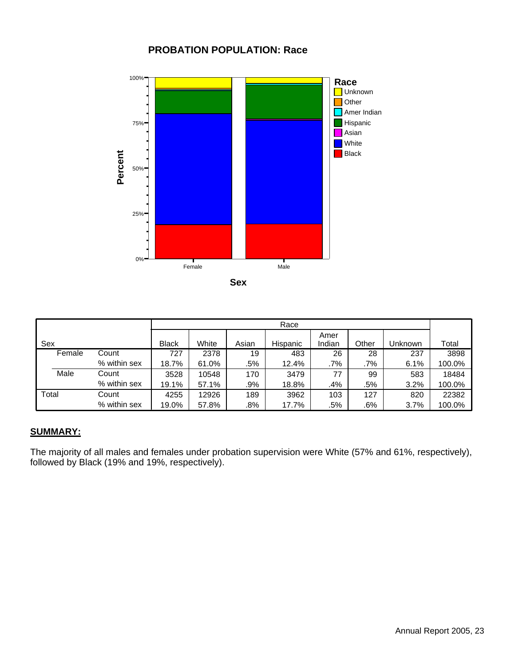#### **PROBATION POPULATION: Race**



|       |        |              |              |       |       | Race     |        |       |         |        |
|-------|--------|--------------|--------------|-------|-------|----------|--------|-------|---------|--------|
|       |        |              |              |       |       |          | Amer   |       |         |        |
| Sex   |        |              | <b>Black</b> | White | Asian | Hispanic | Indian | Other | Unknown | Total  |
|       | Female | Count        | 727          | 2378  | 19    | 483      | 26     | 28    | 237     | 3898   |
|       |        | % within sex | 18.7%        | 61.0% | .5%   | 12.4%    | .7%    | .7%   | 6.1%    | 100.0% |
|       | Male   | Count        | 3528         | 10548 | 170   | 3479     | 77     | 99    | 583     | 18484  |
|       |        | % within sex | 19.1%        | 57.1% | .9%   | 18.8%    | .4%    | .5%   | 3.2%    | 100.0% |
| Total |        | Count        | 4255         | 12926 | 189   | 3962     | 103    | 127   | 820     | 22382  |
|       |        | % within sex | 19.0%        | 57.8% | .8%   | 17.7%    | .5%    | .6%   | 3.7%    | 100.0% |

#### **SUMMARY:**

The majority of all males and females under probation supervision were White (57% and 61%, respectively), followed by Black (19% and 19%, respectively).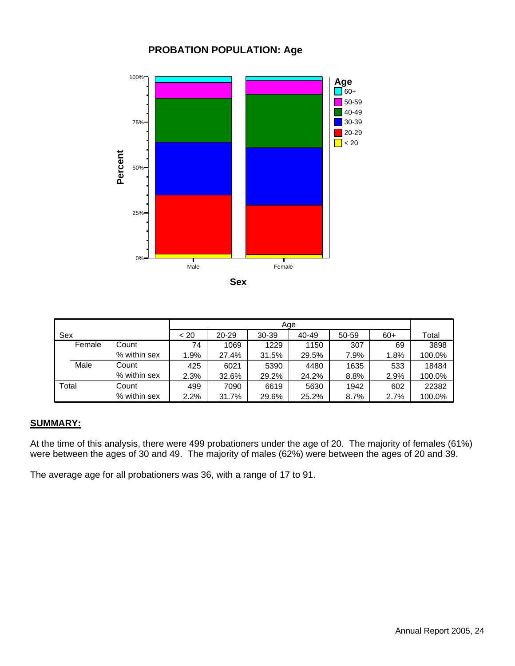#### **PROBATION POPULATION: Age**



|        |              | Age  |           |       |       |       |       |        |  |  |
|--------|--------------|------|-----------|-------|-------|-------|-------|--------|--|--|
| Sex    |              | < 20 | $20 - 29$ | 30-39 | 40-49 | 50-59 | $60+$ | Total  |  |  |
| Female | Count        | 74   | 1069      | 1229  | 1150  | 307   | 69    | 3898   |  |  |
|        | % within sex | 1.9% | 27.4%     | 31.5% | 29.5% | 7.9%  | 1.8%  | 100.0% |  |  |
| Male   | Count        | 425  | 6021      | 5390  | 4480  | 1635  | 533   | 18484  |  |  |
|        | % within sex | 2.3% | 32.6%     | 29.2% | 24.2% | 8.8%  | 2.9%  | 100.0% |  |  |
| Total  | Count        | 499  | 7090      | 6619  | 5630  | 1942  | 602   | 22382  |  |  |
|        | % within sex | 2.2% | 31.7%     | 29.6% | 25.2% | 8.7%  | 2.7%  | 100.0% |  |  |

#### **SUMMARY:**

At the time of this analysis, there were 499 probationers under the age of 20. The majority of females (61%) were between the ages of 30 and 49. The majority of males (62%) were between the ages of 20 and 39.

The average age for all probationers was 36, with a range of 17 to 91.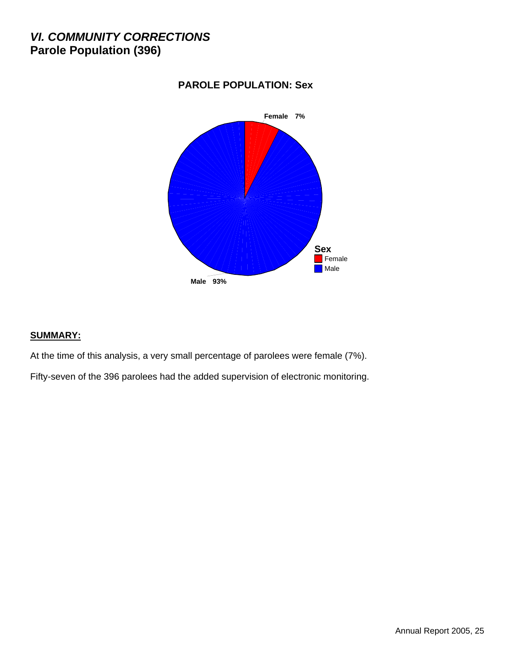### *VI. COMMUNITY CORRECTIONS* **Parole Population (396)**



#### **PAROLE POPULATION: Sex**

#### **SUMMARY:**

At the time of this analysis, a very small percentage of parolees were female (7%).

Fifty-seven of the 396 parolees had the added supervision of electronic monitoring.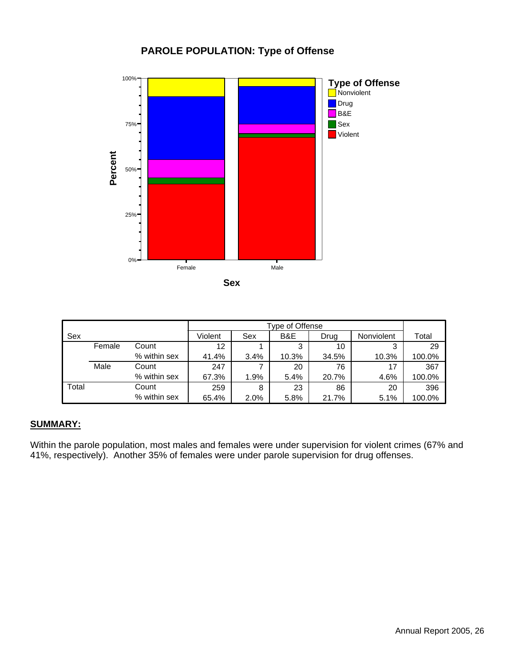#### **PAROLE POPULATION: Type of Offense**



|       |        |              |         | Type of Offense |       |       |            |        |  |  |  |  |
|-------|--------|--------------|---------|-----------------|-------|-------|------------|--------|--|--|--|--|
| Sex   |        |              | Violent | Sex             | B&E   | Drug  | Nonviolent | Total  |  |  |  |  |
|       | Female | Count        | 12      |                 | 3     | 10    | 3          | 29     |  |  |  |  |
|       |        | % within sex | 41.4%   | 3.4%            | 10.3% | 34.5% | 10.3%      | 100.0% |  |  |  |  |
|       | Male   | Count        | 247     |                 | 20    | 76    | 17         | 367    |  |  |  |  |
|       |        | % within sex | 67.3%   | 1.9%            | 5.4%  | 20.7% | 4.6%       | 100.0% |  |  |  |  |
| Total |        | Count        | 259     | 8               | 23    | 86    | 20         | 396    |  |  |  |  |
|       |        | % within sex | 65.4%   | 2.0%            | 5.8%  | 21.7% | 5.1%       | 100.0% |  |  |  |  |

#### **SUMMARY:**

Within the parole population, most males and females were under supervision for violent crimes (67% and 41%, respectively). Another 35% of females were under parole supervision for drug offenses.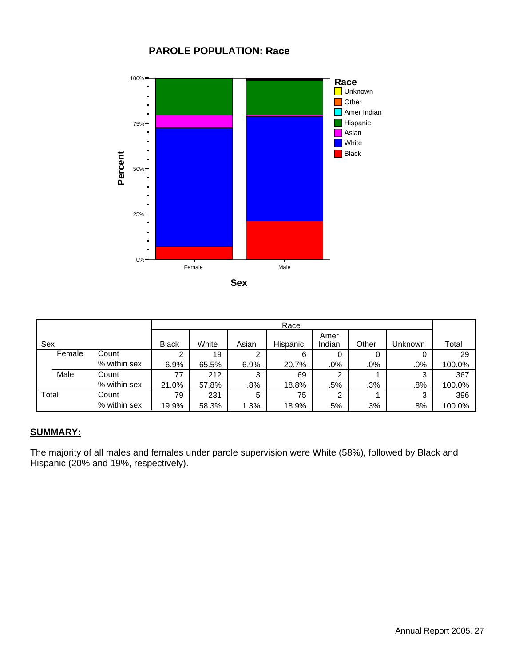#### **PAROLE POPULATION: Race**



|        |              |              | Race  |       |          |                |       |         |        |  |
|--------|--------------|--------------|-------|-------|----------|----------------|-------|---------|--------|--|
| Sex    |              | <b>Black</b> | White | Asian | Hispanic | Amer<br>Indian | Other | Unknown | Total  |  |
| Female | Count        | っ            | 19    | ົ     | 6        | 0              | 0     | 0       | 29     |  |
|        | % within sex | 6.9%         | 65.5% | 6.9%  | 20.7%    | $.0\%$         | .0%   | .0%     | 100.0% |  |
| Male   | Count        | 77           | 212   | 3     | 69       | 2              |       | 3       | 367    |  |
|        | % within sex | 21.0%        | 57.8% | .8%   | 18.8%    | .5%            | .3%   | .8%     | 100.0% |  |
| Total  | Count        | 79           | 231   | 5     | 75       | ⌒              |       | 3       | 396    |  |
|        | % within sex | 19.9%        | 58.3% | 1.3%  | 18.9%    | .5%            | .3%   | .8%     | 100.0% |  |

#### **SUMMARY:**

The majority of all males and females under parole supervision were White (58%), followed by Black and Hispanic (20% and 19%, respectively).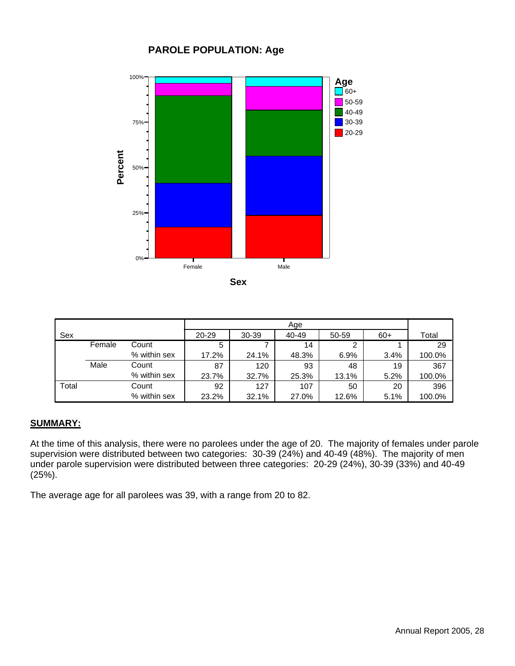#### **PAROLE POPULATION: Age**



| Sex   |        |              | 20-29 | 30-39 | 40-49 | 50-59 | $60+$ | Total  |
|-------|--------|--------------|-------|-------|-------|-------|-------|--------|
|       | Female | Count        | 5     |       | 14    | 2     |       | 29     |
|       |        | % within sex | 17.2% | 24.1% | 48.3% | 6.9%  | 3.4%  | 100.0% |
|       | Male   | Count        | 87    | 120   | 93    | 48    | 19    | 367    |
|       |        | % within sex | 23.7% | 32.7% | 25.3% | 13.1% | 5.2%  | 100.0% |
| Total |        | Count        | 92    | 127   | 107   | 50    | 20    | 396    |
|       |        | % within sex | 23.2% | 32.1% | 27.0% | 12.6% | 5.1%  | 100.0% |

#### **SUMMARY:**

At the time of this analysis, there were no parolees under the age of 20. The majority of females under parole supervision were distributed between two categories: 30-39 (24%) and 40-49 (48%). The majority of men under parole supervision were distributed between three categories: 20-29 (24%), 30-39 (33%) and 40-49 (25%).

The average age for all parolees was 39, with a range from 20 to 82.